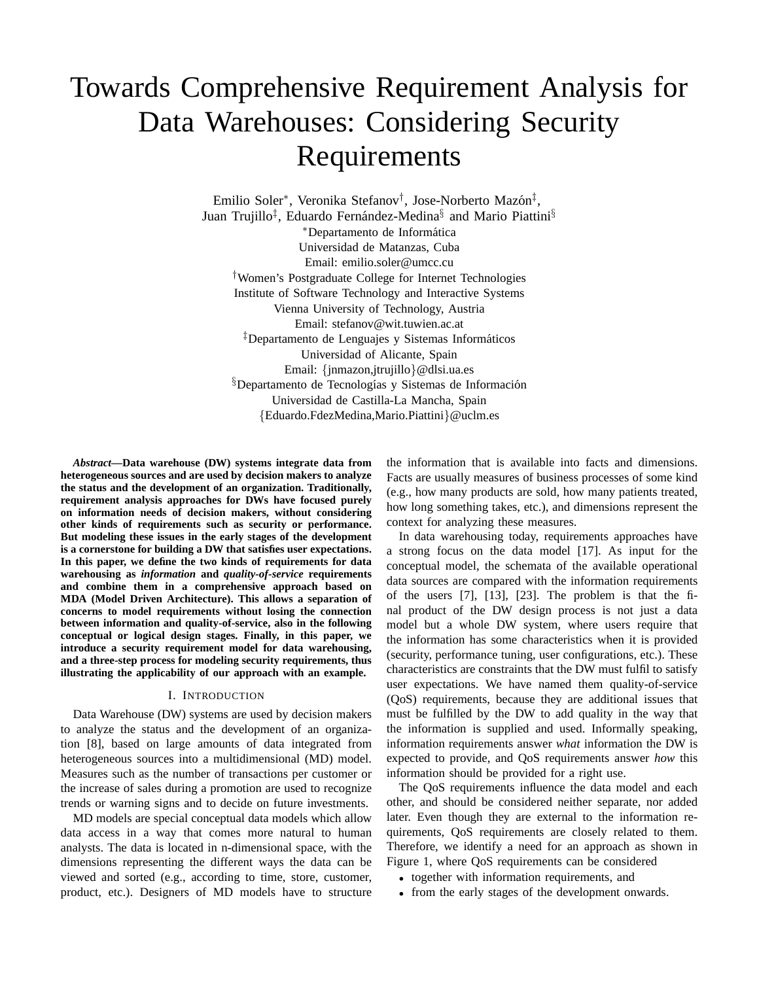# Towards Comprehensive Requirement Analysis for Data Warehouses: Considering Security Requirements

Emilio Soler\*, Veronika Stefanov<sup>†</sup>, Jose-Norberto Mazón<sup>‡</sup>, Juan Trujillo<sup>‡</sup>, Eduardo Fernández-Medina<sup>§</sup> and Mario Piattini<sup>§</sup> <sup>∗</sup>Departamento de Informatica ´ Universidad de Matanzas, Cuba Email: emilio.soler@umcc.cu †Women's Postgraduate College for Internet Technologies Institute of Software Technology and Interactive Systems Vienna University of Technology, Austria Email: stefanov@wit.tuwien.ac.at ‡Departamento de Lenguajes y Sistemas Informaticos ´ Universidad of Alicante, Spain Email: {jnmazon,jtrujillo}@dlsi.ua.es <sup>§</sup>Departamento de Tecnologías y Sistemas de Información Universidad de Castilla-La Mancha, Spain {Eduardo.FdezMedina,Mario.Piattini}@uclm.es

*Abstract***—Data warehouse (DW) systems integrate data from heterogeneous sources and are used by decision makers to analyze the status and the development of an organization. Traditionally, requirement analysis approaches for DWs have focused purely on information needs of decision makers, without considering other kinds of requirements such as security or performance. But modeling these issues in the early stages of the development is a cornerstone for building a DW that satisfies user expectations. In this paper, we define the two kinds of requirements for data warehousing as** *information* **and** *quality-of-service* **requirements and combine them in a comprehensive approach based on MDA (Model Driven Architecture). This allows a separation of concerns to model requirements without losing the connection between information and quality-of-service, also in the following conceptual or logical design stages. Finally, in this paper, we introduce a security requirement model for data warehousing, and a three-step process for modeling security requirements, thus illustrating the applicability of our approach with an example.**

#### I. INTRODUCTION

Data Warehouse (DW) systems are used by decision makers to analyze the status and the development of an organization [8], based on large amounts of data integrated from heterogeneous sources into a multidimensional (MD) model. Measures such as the number of transactions per customer or the increase of sales during a promotion are used to recognize trends or warning signs and to decide on future investments.

MD models are special conceptual data models which allow data access in a way that comes more natural to human analysts. The data is located in n-dimensional space, with the dimensions representing the different ways the data can be viewed and sorted (e.g., according to time, store, customer, product, etc.). Designers of MD models have to structure the information that is available into facts and dimensions. Facts are usually measures of business processes of some kind (e.g., how many products are sold, how many patients treated, how long something takes, etc.), and dimensions represent the context for analyzing these measures.

In data warehousing today, requirements approaches have a strong focus on the data model [17]. As input for the conceptual model, the schemata of the available operational data sources are compared with the information requirements of the users [7], [13], [23]. The problem is that the final product of the DW design process is not just a data model but a whole DW system, where users require that the information has some characteristics when it is provided (security, performance tuning, user configurations, etc.). These characteristics are constraints that the DW must fulfil to satisfy user expectations. We have named them quality-of-service (QoS) requirements, because they are additional issues that must be fulfilled by the DW to add quality in the way that the information is supplied and used. Informally speaking, information requirements answer *what* information the DW is expected to provide, and QoS requirements answer *how* this information should be provided for a right use.

The QoS requirements influence the data model and each other, and should be considered neither separate, nor added later. Even though they are external to the information requirements, QoS requirements are closely related to them. Therefore, we identify a need for an approach as shown in Figure 1, where QoS requirements can be considered

- together with information requirements, and
- from the early stages of the development onwards.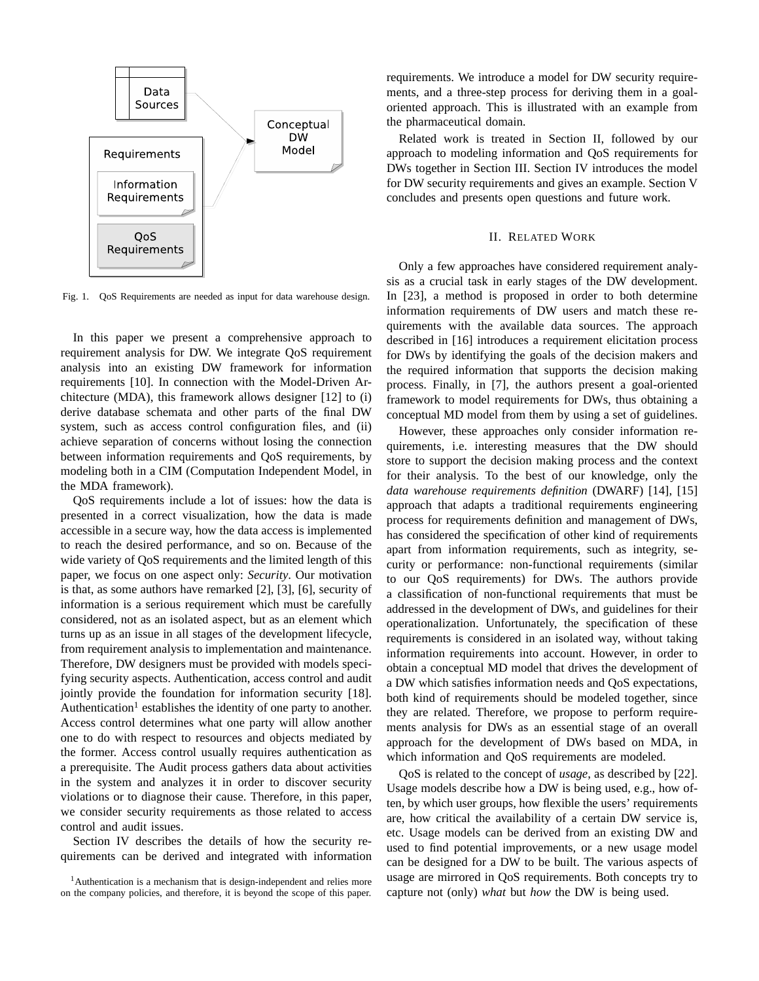

Fig. 1. QoS Requirements are needed as input for data warehouse design.

In this paper we present a comprehensive approach to requirement analysis for DW. We integrate QoS requirement analysis into an existing DW framework for information requirements [10]. In connection with the Model-Driven Architecture (MDA), this framework allows designer [12] to (i) derive database schemata and other parts of the final DW system, such as access control configuration files, and (ii) achieve separation of concerns without losing the connection between information requirements and QoS requirements, by modeling both in a CIM (Computation Independent Model, in the MDA framework).

QoS requirements include a lot of issues: how the data is presented in a correct visualization, how the data is made accessible in a secure way, how the data access is implemented to reach the desired performance, and so on. Because of the wide variety of QoS requirements and the limited length of this paper, we focus on one aspect only: *Security*. Our motivation is that, as some authors have remarked [2], [3], [6], security of information is a serious requirement which must be carefully considered, not as an isolated aspect, but as an element which turns up as an issue in all stages of the development lifecycle, from requirement analysis to implementation and maintenance. Therefore, DW designers must be provided with models specifying security aspects. Authentication, access control and audit jointly provide the foundation for information security [18]. Authentication<sup>1</sup> establishes the identity of one party to another. Access control determines what one party will allow another one to do with respect to resources and objects mediated by the former. Access control usually requires authentication as a prerequisite. The Audit process gathers data about activities in the system and analyzes it in order to discover security violations or to diagnose their cause. Therefore, in this paper, we consider security requirements as those related to access control and audit issues.

Section IV describes the details of how the security requirements can be derived and integrated with information requirements. We introduce a model for DW security requirements, and a three-step process for deriving them in a goaloriented approach. This is illustrated with an example from the pharmaceutical domain.

Related work is treated in Section II, followed by our approach to modeling information and QoS requirements for DWs together in Section III. Section IV introduces the model for DW security requirements and gives an example. Section V concludes and presents open questions and future work.

## II. RELATED WORK

Only a few approaches have considered requirement analysis as a crucial task in early stages of the DW development. In [23], a method is proposed in order to both determine information requirements of DW users and match these requirements with the available data sources. The approach described in [16] introduces a requirement elicitation process for DWs by identifying the goals of the decision makers and the required information that supports the decision making process. Finally, in [7], the authors present a goal-oriented framework to model requirements for DWs, thus obtaining a conceptual MD model from them by using a set of guidelines.

However, these approaches only consider information requirements, i.e. interesting measures that the DW should store to support the decision making process and the context for their analysis. To the best of our knowledge, only the *data warehouse requirements definition* (DWARF) [14], [15] approach that adapts a traditional requirements engineering process for requirements definition and management of DWs, has considered the specification of other kind of requirements apart from information requirements, such as integrity, security or performance: non-functional requirements (similar to our QoS requirements) for DWs. The authors provide a classification of non-functional requirements that must be addressed in the development of DWs, and guidelines for their operationalization. Unfortunately, the specification of these requirements is considered in an isolated way, without taking information requirements into account. However, in order to obtain a conceptual MD model that drives the development of a DW which satisfies information needs and QoS expectations, both kind of requirements should be modeled together, since they are related. Therefore, we propose to perform requirements analysis for DWs as an essential stage of an overall approach for the development of DWs based on MDA, in which information and QoS requirements are modeled.

QoS is related to the concept of *usage*, as described by [22]. Usage models describe how a DW is being used, e.g., how often, by which user groups, how flexible the users' requirements are, how critical the availability of a certain DW service is, etc. Usage models can be derived from an existing DW and used to find potential improvements, or a new usage model can be designed for a DW to be built. The various aspects of usage are mirrored in QoS requirements. Both concepts try to capture not (only) *what* but *how* the DW is being used.

<sup>&</sup>lt;sup>1</sup>Authentication is a mechanism that is design-independent and relies more on the company policies, and therefore, it is beyond the scope of this paper.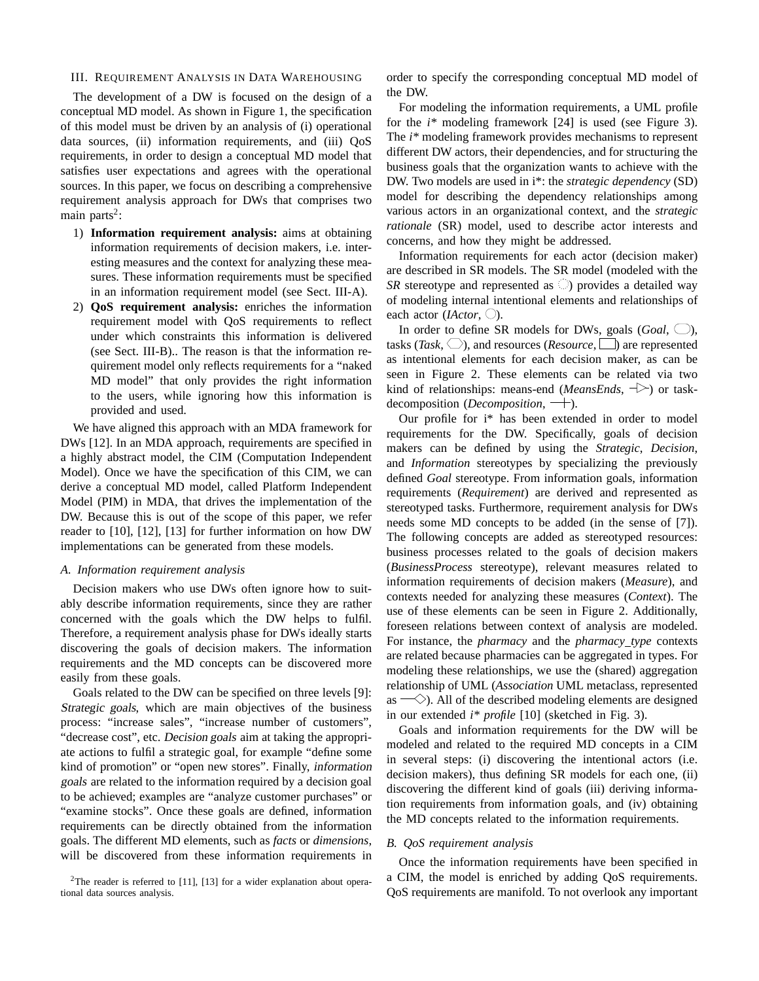#### III. REQUIREMENT ANALYSIS IN DATA WAREHOUSING

The development of a DW is focused on the design of a conceptual MD model. As shown in Figure 1, the specification of this model must be driven by an analysis of (i) operational data sources, (ii) information requirements, and (iii) QoS requirements, in order to design a conceptual MD model that satisfies user expectations and agrees with the operational sources. In this paper, we focus on describing a comprehensive requirement analysis approach for DWs that comprises two main parts<sup>2</sup>:

- 1) **Information requirement analysis:** aims at obtaining information requirements of decision makers, i.e. interesting measures and the context for analyzing these measures. These information requirements must be specified in an information requirement model (see Sect. III-A).
- 2) **QoS requirement analysis:** enriches the information requirement model with QoS requirements to reflect under which constraints this information is delivered (see Sect. III-B).. The reason is that the information requirement model only reflects requirements for a "naked MD model" that only provides the right information to the users, while ignoring how this information is provided and used.

We have aligned this approach with an MDA framework for DWs [12]. In an MDA approach, requirements are specified in a highly abstract model, the CIM (Computation Independent Model). Once we have the specification of this CIM, we can derive a conceptual MD model, called Platform Independent Model (PIM) in MDA, that drives the implementation of the DW. Because this is out of the scope of this paper, we refer reader to [10], [12], [13] for further information on how DW implementations can be generated from these models.

### *A. Information requirement analysis*

Decision makers who use DWs often ignore how to suitably describe information requirements, since they are rather concerned with the goals which the DW helps to fulfil. Therefore, a requirement analysis phase for DWs ideally starts discovering the goals of decision makers. The information requirements and the MD concepts can be discovered more easily from these goals.

Goals related to the DW can be specified on three levels [9]: Strategic goals, which are main objectives of the business process: "increase sales", "increase number of customers", "decrease cost", etc. Decision goals aim at taking the appropriate actions to fulfil a strategic goal, for example "define some kind of promotion" or "open new stores". Finally, information goals are related to the information required by a decision goal to be achieved; examples are "analyze customer purchases" or "examine stocks". Once these goals are defined, information requirements can be directly obtained from the information goals. The different MD elements, such as *facts* or *dimensions*, will be discovered from these information requirements in

order to specify the corresponding conceptual MD model of the DW.

For modeling the information requirements, a UML profile for the *i\** modeling framework [24] is used (see Figure 3). The *i\** modeling framework provides mechanisms to represent different DW actors, their dependencies, and for structuring the business goals that the organization wants to achieve with the DW. Two models are used in i\*: the *strategic dependency* (SD) model for describing the dependency relationships among various actors in an organizational context, and the *strategic rationale* (SR) model, used to describe actor interests and concerns, and how they might be addressed.

Information requirements for each actor (decision maker) are described in SR models. The SR model (modeled with the *SR* stereotype and represented as  $\heartsuit$  provides a detailed way of modeling internal intentional elements and relationships of each actor (*IActor*,  $\bigcirc$ ).

In order to define SR models for DWs, goals  $(Goal, \bigcirc)$ , tasks (*Task*,  $\bigcirc$ ), and resources (*Resource*,  $\Box$ ) are represented as intentional elements for each decision maker, as can be seen in Figure 2. These elements can be related via two kind of relationships: means-end (*MeansEnds*,  $\rightarrow$ ) or taskdecomposition (*Decomposition*,  $\rightarrow$ ).

Our profile for i\* has been extended in order to model requirements for the DW. Specifically, goals of decision makers can be defined by using the *Strategic*, *Decision*, and *Information* stereotypes by specializing the previously defined *Goal* stereotype. From information goals, information requirements (*Requirement*) are derived and represented as stereotyped tasks. Furthermore, requirement analysis for DWs needs some MD concepts to be added (in the sense of [7]). The following concepts are added as stereotyped resources: business processes related to the goals of decision makers (*BusinessProcess* stereotype), relevant measures related to information requirements of decision makers (*Measure*), and contexts needed for analyzing these measures (*Context*). The use of these elements can be seen in Figure 2. Additionally, foreseen relations between context of analysis are modeled. For instance, the *pharmacy* and the *pharmacy type* contexts are related because pharmacies can be aggregated in types. For modeling these relationships, we use the (shared) aggregation relationship of UML (*Association* UML metaclass, represented as  $\infty$ ). All of the described modeling elements are designed in our extended *i\* profile* [10] (sketched in Fig. 3).

Goals and information requirements for the DW will be modeled and related to the required MD concepts in a CIM in several steps: (i) discovering the intentional actors (i.e. decision makers), thus defining SR models for each one, (ii) discovering the different kind of goals (iii) deriving information requirements from information goals, and (iv) obtaining the MD concepts related to the information requirements.

## *B. QoS requirement analysis*

Once the information requirements have been specified in a CIM, the model is enriched by adding QoS requirements. QoS requirements are manifold. To not overlook any important

<sup>&</sup>lt;sup>2</sup>The reader is referred to [11], [13] for a wider explanation about operational data sources analysis.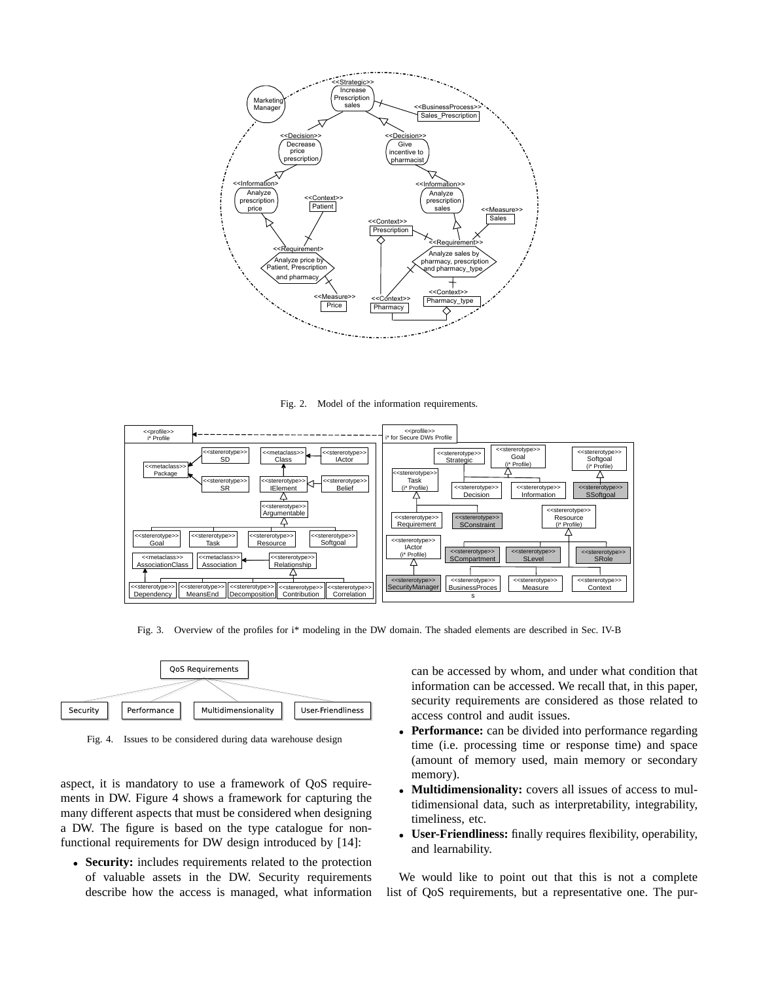

Fig. 2. Model of the information requirements.



Fig. 3. Overview of the profiles for i\* modeling in the DW domain. The shaded elements are described in Sec. IV-B



Fig. 4. Issues to be considered during data warehouse design

aspect, it is mandatory to use a framework of QoS requirements in DW. Figure 4 shows a framework for capturing the many different aspects that must be considered when designing a DW. The figure is based on the type catalogue for nonfunctional requirements for DW design introduced by [14]:

• **Security:** includes requirements related to the protection of valuable assets in the DW. Security requirements describe how the access is managed, what information can be accessed by whom, and under what condition that information can be accessed. We recall that, in this paper, security requirements are considered as those related to access control and audit issues.

- **Performance:** can be divided into performance regarding time (i.e. processing time or response time) and space (amount of memory used, main memory or secondary memory).
- **Multidimensionality:** covers all issues of access to multidimensional data, such as interpretability, integrability, timeliness, etc.
- **User-Friendliness:** finally requires flexibility, operability, and learnability.

We would like to point out that this is not a complete list of QoS requirements, but a representative one. The pur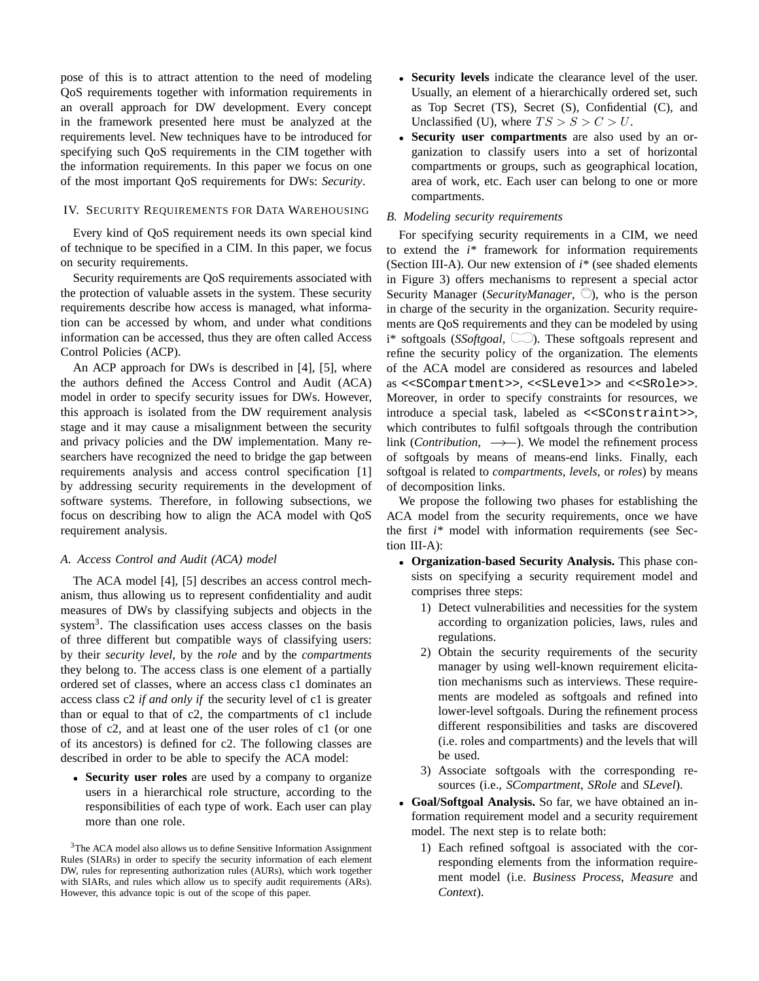pose of this is to attract attention to the need of modeling QoS requirements together with information requirements in an overall approach for DW development. Every concept in the framework presented here must be analyzed at the requirements level. New techniques have to be introduced for specifying such QoS requirements in the CIM together with the information requirements. In this paper we focus on one of the most important QoS requirements for DWs: *Security*.

# IV. SECURITY REQUIREMENTS FOR DATA WAREHOUSING

Every kind of QoS requirement needs its own special kind of technique to be specified in a CIM. In this paper, we focus on security requirements.

Security requirements are QoS requirements associated with the protection of valuable assets in the system. These security requirements describe how access is managed, what information can be accessed by whom, and under what conditions information can be accessed, thus they are often called Access Control Policies (ACP).

An ACP approach for DWs is described in [4], [5], where the authors defined the Access Control and Audit (ACA) model in order to specify security issues for DWs. However, this approach is isolated from the DW requirement analysis stage and it may cause a misalignment between the security and privacy policies and the DW implementation. Many researchers have recognized the need to bridge the gap between requirements analysis and access control specification [1] by addressing security requirements in the development of software systems. Therefore, in following subsections, we focus on describing how to align the ACA model with QoS requirement analysis.

# *A. Access Control and Audit (ACA) model*

The ACA model [4], [5] describes an access control mechanism, thus allowing us to represent confidentiality and audit measures of DWs by classifying subjects and objects in the system<sup>3</sup>. The classification uses access classes on the basis of three different but compatible ways of classifying users: by their *security level*, by the *role* and by the *compartments* they belong to. The access class is one element of a partially ordered set of classes, where an access class c1 dominates an access class c2 *if and only if* the security level of c1 is greater than or equal to that of c2, the compartments of c1 include those of c2, and at least one of the user roles of c1 (or one of its ancestors) is defined for c2. The following classes are described in order to be able to specify the ACA model:

• **Security user roles** are used by a company to organize users in a hierarchical role structure, according to the responsibilities of each type of work. Each user can play more than one role.

- **Security levels** indicate the clearance level of the user. Usually, an element of a hierarchically ordered set, such as Top Secret (TS), Secret (S), Confidential (C), and Unclassified (U), where  $TS > S > C > U$ .
- **Security user compartments** are also used by an organization to classify users into a set of horizontal compartments or groups, such as geographical location, area of work, etc. Each user can belong to one or more compartments.

# *B. Modeling security requirements*

For specifying security requirements in a CIM, we need to extend the *i\** framework for information requirements (Section III-A). Our new extension of *i\** (see shaded elements in Figure 3) offers mechanisms to represent a special actor Security Manager (*SecurityManager*,  $\bigcirc$ ), who is the person in charge of the security in the organization. Security requirements are QoS requirements and they can be modeled by using  $i^*$  softgoals (*SSoftgoal*,  $\sim$ ). These softgoals represent and refine the security policy of the organization. The elements of the ACA model are considered as resources and labeled as <<SCompartment>>, <<SLevel>> and <<SRole>>. Moreover, in order to specify constraints for resources, we introduce a special task, labeled as <<SConstraint>>, which contributes to fulfil softgoals through the contribution link (*Contribution*,  $\longrightarrow$ ). We model the refinement process of softgoals by means of means-end links. Finally, each softgoal is related to *compartments*, *levels*, or *roles*) by means of decomposition links.

We propose the following two phases for establishing the ACA model from the security requirements, once we have the first *i\** model with information requirements (see Section III-A):

- **Organization-based Security Analysis.** This phase consists on specifying a security requirement model and comprises three steps:
	- 1) Detect vulnerabilities and necessities for the system according to organization policies, laws, rules and regulations.
	- 2) Obtain the security requirements of the security manager by using well-known requirement elicitation mechanisms such as interviews. These requirements are modeled as softgoals and refined into lower-level softgoals. During the refinement process different responsibilities and tasks are discovered (i.e. roles and compartments) and the levels that will be used.
	- 3) Associate softgoals with the corresponding resources (i.e., *SCompartment*, *SRole* and *SLevel*).
- **Goal/Softgoal Analysis.** So far, we have obtained an information requirement model and a security requirement model. The next step is to relate both:
	- 1) Each refined softgoal is associated with the corresponding elements from the information requirement model (i.e. *Business Process*, *Measure* and *Context*).

<sup>&</sup>lt;sup>3</sup>The ACA model also allows us to define Sensitive Information Assignment Rules (SIARs) in order to specify the security information of each element DW, rules for representing authorization rules (AURs), which work together with SIARs, and rules which allow us to specify audit requirements (ARs). However, this advance topic is out of the scope of this paper.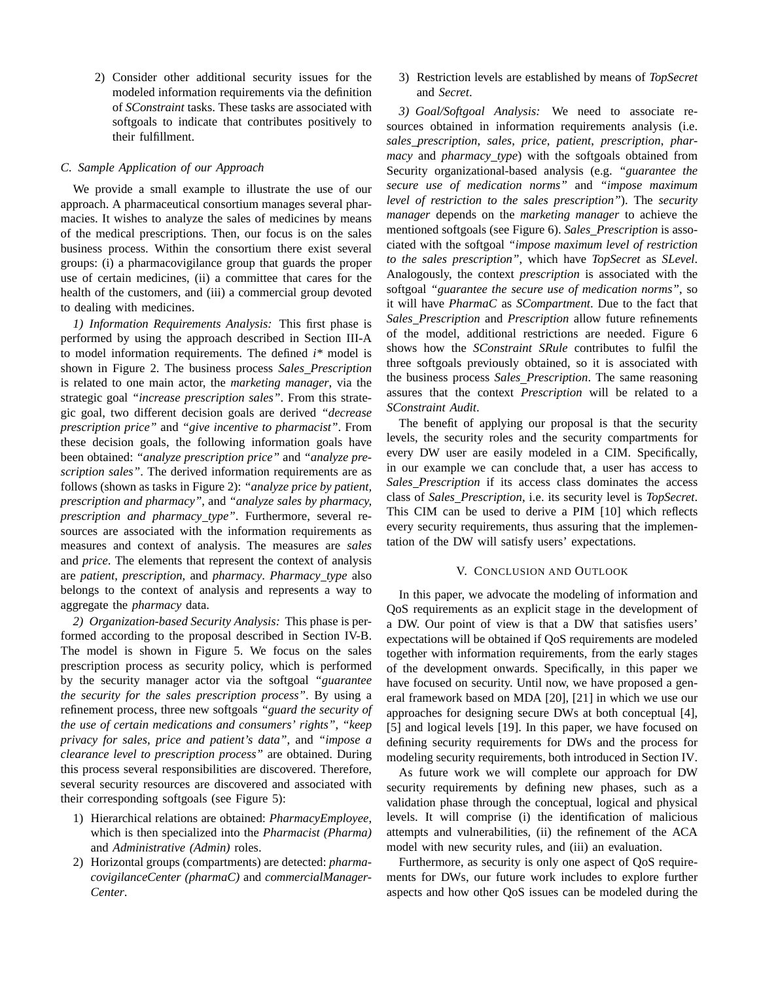2) Consider other additional security issues for the modeled information requirements via the definition of *SConstraint* tasks. These tasks are associated with softgoals to indicate that contributes positively to their fulfillment.

# *C. Sample Application of our Approach*

We provide a small example to illustrate the use of our approach. A pharmaceutical consortium manages several pharmacies. It wishes to analyze the sales of medicines by means of the medical prescriptions. Then, our focus is on the sales business process. Within the consortium there exist several groups: (i) a pharmacovigilance group that guards the proper use of certain medicines, (ii) a committee that cares for the health of the customers, and (iii) a commercial group devoted to dealing with medicines.

*1) Information Requirements Analysis:* This first phase is performed by using the approach described in Section III-A to model information requirements. The defined *i\** model is shown in Figure 2. The business process *Sales Prescription* is related to one main actor, the *marketing manager*, via the strategic goal *"increase prescription sales"*. From this strategic goal, two different decision goals are derived *"decrease prescription price"* and *"give incentive to pharmacist"*. From these decision goals, the following information goals have been obtained: *"analyze prescription price"* and *"analyze prescription sales"*. The derived information requirements are as follows (shown as tasks in Figure 2): *"analyze price by patient, prescription and pharmacy"*, and *"analyze sales by pharmacy, prescription and pharmacy type"*. Furthermore, several resources are associated with the information requirements as measures and context of analysis. The measures are *sales* and *price*. The elements that represent the context of analysis are *patient*, *prescription*, and *pharmacy*. *Pharmacy type* also belongs to the context of analysis and represents a way to aggregate the *pharmacy* data.

*2) Organization-based Security Analysis:* This phase is performed according to the proposal described in Section IV-B. The model is shown in Figure 5. We focus on the sales prescription process as security policy, which is performed by the security manager actor via the softgoal *"guarantee the security for the sales prescription process"*. By using a refinement process, three new softgoals *"guard the security of the use of certain medications and consumers' rights"*, *"keep privacy for sales, price and patient's data"*, and *"impose a clearance level to prescription process"* are obtained. During this process several responsibilities are discovered. Therefore, several security resources are discovered and associated with their corresponding softgoals (see Figure 5):

- 1) Hierarchical relations are obtained: *PharmacyEmployee*, which is then specialized into the *Pharmacist (Pharma)* and *Administrative (Admin)* roles.
- 2) Horizontal groups (compartments) are detected: *pharmacovigilanceCenter (pharmaC)* and *commercialManager-Center*.

3) Restriction levels are established by means of *TopSecret* and *Secret*.

*3) Goal/Softgoal Analysis:* We need to associate resources obtained in information requirements analysis (i.e. *sales prescription*, *sales*, *price*, *patient*, *prescription*, *pharmacy* and *pharmacy type*) with the softgoals obtained from Security organizational-based analysis (e.g. *"guarantee the secure use of medication norms"* and *"impose maximum level of restriction to the sales prescription"*). The *security manager* depends on the *marketing manager* to achieve the mentioned softgoals (see Figure 6). *Sales Prescription* is associated with the softgoal *"impose maximum level of restriction to the sales prescription"*, which have *TopSecret* as *SLevel*. Analogously, the context *prescription* is associated with the softgoal *"guarantee the secure use of medication norms"*, so it will have *PharmaC* as *SCompartment*. Due to the fact that *Sales Prescription* and *Prescription* allow future refinements of the model, additional restrictions are needed. Figure 6 shows how the *SConstraint SRule* contributes to fulfil the three softgoals previously obtained, so it is associated with the business process *Sales Prescription*. The same reasoning assures that the context *Prescription* will be related to a *SConstraint Audit*.

The benefit of applying our proposal is that the security levels, the security roles and the security compartments for every DW user are easily modeled in a CIM. Specifically, in our example we can conclude that, a user has access to *Sales Prescription* if its access class dominates the access class of *Sales Prescription*, i.e. its security level is *TopSecret*. This CIM can be used to derive a PIM [10] which reflects every security requirements, thus assuring that the implementation of the DW will satisfy users' expectations.

### V. CONCLUSION AND OUTLOOK

In this paper, we advocate the modeling of information and QoS requirements as an explicit stage in the development of a DW. Our point of view is that a DW that satisfies users' expectations will be obtained if QoS requirements are modeled together with information requirements, from the early stages of the development onwards. Specifically, in this paper we have focused on security. Until now, we have proposed a general framework based on MDA [20], [21] in which we use our approaches for designing secure DWs at both conceptual [4], [5] and logical levels [19]. In this paper, we have focused on defining security requirements for DWs and the process for modeling security requirements, both introduced in Section IV.

As future work we will complete our approach for DW security requirements by defining new phases, such as a validation phase through the conceptual, logical and physical levels. It will comprise (i) the identification of malicious attempts and vulnerabilities, (ii) the refinement of the ACA model with new security rules, and (iii) an evaluation.

Furthermore, as security is only one aspect of QoS requirements for DWs, our future work includes to explore further aspects and how other QoS issues can be modeled during the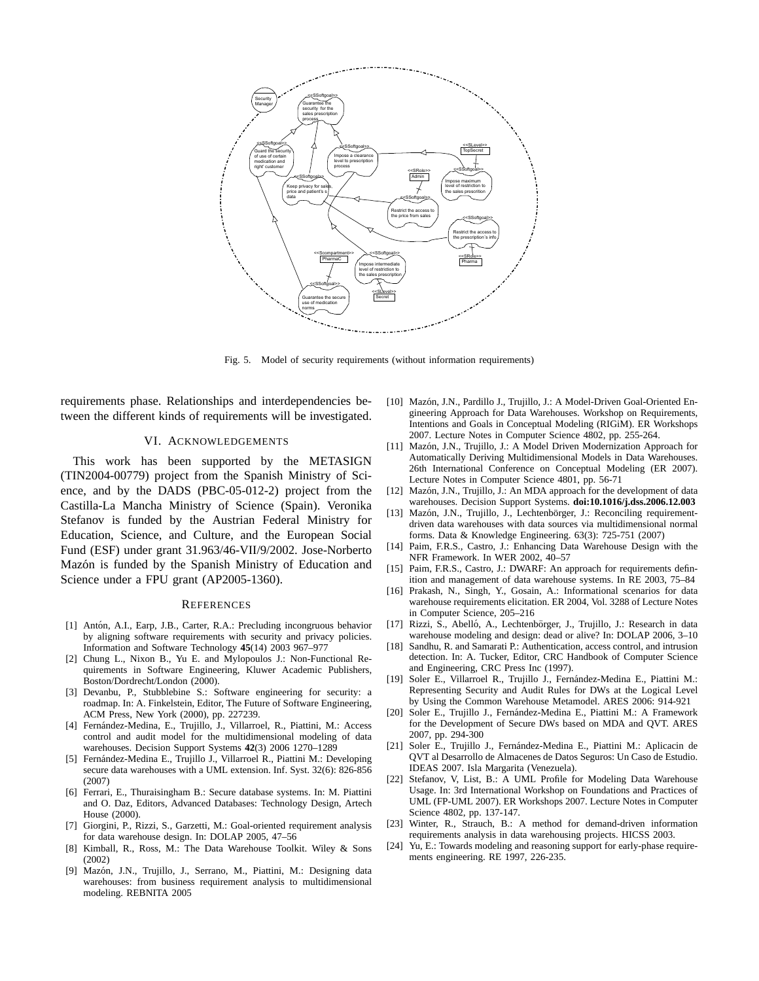

Fig. 5. Model of security requirements (without information requirements)

requirements phase. Relationships and interdependencies between the different kinds of requirements will be investigated.

#### VI. ACKNOWLEDGEMENTS

This work has been supported by the METASIGN (TIN2004-00779) project from the Spanish Ministry of Science, and by the DADS (PBC-05-012-2) project from the Castilla-La Mancha Ministry of Science (Spain). Veronika Stefanov is funded by the Austrian Federal Ministry for Education, Science, and Culture, and the European Social Fund (ESF) under grant 31.963/46-VII/9/2002. Jose-Norberto Mazón is funded by the Spanish Ministry of Education and Science under a FPU grant (AP2005-1360).

#### **REFERENCES**

- [1] Antón, A.I., Earp, J.B., Carter, R.A.: Precluding incongruous behavior by aligning software requirements with security and privacy policies. Information and Software Technology **45**(14) 2003 967–977
- [2] Chung L., Nixon B., Yu E. and Mylopoulos J.: Non-Functional Requirements in Software Engineering, Kluwer Academic Publishers, Boston/Dordrecht/London (2000).
- [3] Devanbu, P., Stubblebine S.: Software engineering for security: a roadmap. In: A. Finkelstein, Editor, The Future of Software Engineering, ACM Press, New York (2000), pp. 227239.
- [4] Fernández-Medina, E., Trujillo, J., Villarroel, R., Piattini, M.: Access control and audit model for the multidimensional modeling of data warehouses. Decision Support Systems **42**(3) 2006 1270–1289
- [5] Fernández-Medina E., Trujillo J., Villarroel R., Piattini M.: Developing secure data warehouses with a UML extension. Inf. Syst. 32(6): 826-856 (2007)
- [6] Ferrari, E., Thuraisingham B.: Secure database systems. In: M. Piattini and O. Daz, Editors, Advanced Databases: Technology Design, Artech House (2000).
- [7] Giorgini, P., Rizzi, S., Garzetti, M.: Goal-oriented requirement analysis for data warehouse design. In: DOLAP 2005, 47–56
- [8] Kimball, R., Ross, M.: The Data Warehouse Toolkit. Wiley & Sons (2002)
- [9] Mazón, J.N., Trujillo, J., Serrano, M., Piattini, M.: Designing data warehouses: from business requirement analysis to multidimensional modeling. REBNITA 2005
- [10] Mazón, J.N., Pardillo J., Trujillo, J.: A Model-Driven Goal-Oriented Engineering Approach for Data Warehouses. Workshop on Requirements, Intentions and Goals in Conceptual Modeling (RIGiM). ER Workshops 2007. Lecture Notes in Computer Science 4802, pp. 255-264.
- [11] Mazón, J.N., Trujillo, J.: A Model Driven Modernization Approach for Automatically Deriving Multidimensional Models in Data Warehouses. 26th International Conference on Conceptual Modeling (ER 2007). Lecture Notes in Computer Science 4801, pp. 56-71
- [12] Mazón, J.N., Trujillo, J.: An MDA approach for the development of data warehouses. Decision Support Systems. **doi:10.1016/j.dss.2006.12.003**
- [13] Mazón, J.N., Trujillo, J., Lechtenbörger, J.: Reconciling requirementdriven data warehouses with data sources via multidimensional normal forms. Data & Knowledge Engineering. 63(3): 725-751 (2007)
- [14] Paim, F.R.S., Castro, J.: Enhancing Data Warehouse Design with the NFR Framework. In WER 2002, 40–57
- [15] Paim, F.R.S., Castro, J.: DWARF: An approach for requirements definition and management of data warehouse systems. In RE 2003, 75–84
- [16] Prakash, N., Singh, Y., Gosain, A.: Informational scenarios for data warehouse requirements elicitation. ER 2004, Vol. 3288 of Lecture Notes in Computer Science, 205–216
- [17] Rizzi, S., Abelló, A., Lechtenbörger, J., Trujillo, J.: Research in data warehouse modeling and design: dead or alive? In: DOLAP 2006, 3–10
- [18] Sandhu, R. and Samarati P.: Authentication, access control, and intrusion detection. In: A. Tucker, Editor, CRC Handbook of Computer Science and Engineering, CRC Press Inc (1997).
- [19] Soler E., Villarroel R., Trujillo J., Fernández-Medina E., Piattini M.: Representing Security and Audit Rules for DWs at the Logical Level by Using the Common Warehouse Metamodel. ARES 2006: 914-921
- [20] Soler E., Trujillo J., Fernández-Medina E., Piattini M.: A Framework for the Development of Secure DWs based on MDA and QVT. ARES 2007, pp. 294-300
- [21] Soler E., Trujillo J., Fernández-Medina E., Piattini M.: Aplicacin de QVT al Desarrollo de Almacenes de Datos Seguros: Un Caso de Estudio. IDEAS 2007. Isla Margarita (Venezuela).
- [22] Stefanov, V, List, B.: A UML Profile for Modeling Data Warehouse Usage. In: 3rd International Workshop on Foundations and Practices of UML (FP-UML 2007). ER Workshops 2007. Lecture Notes in Computer Science 4802, pp. 137-147.
- [23] Winter, R., Strauch, B.: A method for demand-driven information requirements analysis in data warehousing projects. HICSS 2003.
- [24] Yu, E.: Towards modeling and reasoning support for early-phase requirements engineering. RE 1997, 226-235.